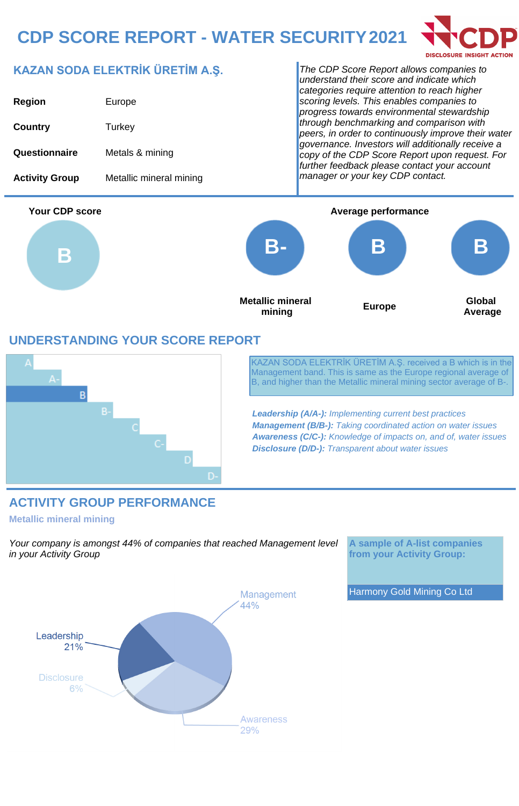# **CDP SCORE REPORT - WATER SECURITY 2021**



## **KAZAN SODA ELEKTRİK ÜRETİM A.Ş.**

| <b>Region</b>         | Europe                  |
|-----------------------|-------------------------|
| Country               | Turkey                  |
| Questionnaire         | Metals & mining         |
| <b>Activity Group</b> | Metallic mineral mining |

The CDP Score Report allows companies to understand their score and indicate which categories require attention to reach higher scoring levels. This enables companies to progress towards environmental stewardship through benchmarking and comparison with peers, in order to continuously improve their water governance. Investors will additionally receive a copy of the CDP Score Report upon request. For further feedback please contact your account manager or your key CDP contact.



### **UNDERSTANDING YOUR SCORE REPORT**



KAZAN SODA ELEKTRİK ÜRETİM A.Ş. received a B which is in the Management band. This is same as the Europe regional average of B, and higher than the Metallic mineral mining sector average of B-.

**Leadership (A/A-):** Implementing current best practices **Management (B/B-):** Taking coordinated action on water issues **Awareness (C/C-):** Knowledge of impacts on, and of, water issues **Disclosure (D/D-):** Transparent about water issues

### **ACTIVITY GROUP PERFORMANCE**

#### **Metallic mineral mining**

Your company is amongst 44% of companies that reached Management level in your Activity Group

**A sample of A-list companies from your Activity Group:**

Harmony Gold Mining Co Ltd